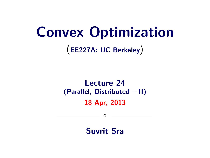# Convex Optimization

(EE227A: UC Berkeley)

# Lecture 24 (Parallel, Distributed – II) 18 Apr, 2013

Suvrit Sra

 $\circ$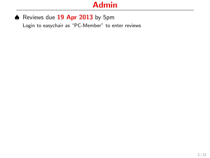#### ♦ Reviews due 19 Apr 2013 by 5pm

Login to easychair as "PC-Member" to enter reviews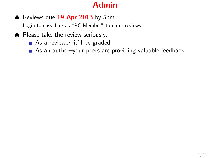♦ Reviews due 19 Apr 2013 by 5pm

Login to easychair as "PC-Member" to enter reviews

- Please take the review seriously:
	- As a reviewer–it'll be graded
	- As an author-your peers are providing valuable feedback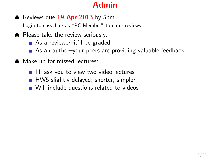♦ Reviews due 19 Apr 2013 by 5pm

Login to easychair as "PC-Member" to enter reviews

- Please take the review seriously:
	- As a reviewer–it'll be graded
	- As an author–your peers are providing valuable feedback
- ♠ Make up for missed lectures:
	- I'll ask you to view two video lectures
	- HW5 slightly delayed; shorter, simpler
	- Will include questions related to videos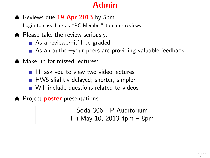$\blacklozenge$  Reviews due  $19$  Apr 2013 by 5pm

Login to easychair as "PC-Member" to enter reviews

- Please take the review seriously:
	- As a reviewer–it'll be graded
	- As an author-your peers are providing valuable feedback
- ♠ Make up for missed lectures:
	- I'll ask you to view two video lectures
	- HW5 slightly delayed; shorter, simpler
	- Will include questions related to videos
- ♦ Project **poster** presentations:

Soda 306 HP Auditorium Fri May 10, 2013 4pm – 8pm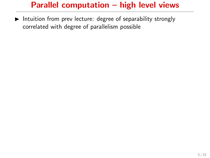$\blacktriangleright$  Intuition from prev lecture: degree of separability strongly correlated with degree of parallelism possible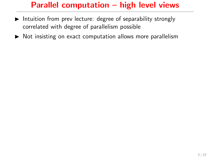- $\blacktriangleright$  Intuition from prev lecture: degree of separability strongly correlated with degree of parallelism possible
- $\triangleright$  Not insisting on exact computation allows more parallelism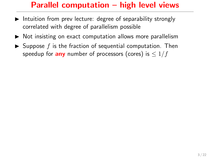- $\blacktriangleright$  Intuition from prev lecture: degree of separability strongly correlated with degree of parallelism possible
- $\triangleright$  Not insisting on exact computation allows more parallelism
- $\triangleright$  Suppose f is the fraction of sequential computation. Then speedup for **any** number of processors (cores) is  $\leq 1/f$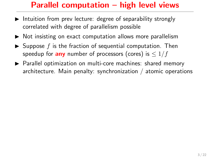- $\blacktriangleright$  Intuition from prev lecture: degree of separability strongly correlated with degree of parallelism possible
- $\triangleright$  Not insisting on exact computation allows more parallelism
- $\triangleright$  Suppose f is the fraction of sequential computation. Then speedup for **any** number of processors (cores) is  $\leq 1/f$
- $\triangleright$  Parallel optimization on multi-core machines: shared memory architecture. Main penalty: synchronization / atomic operations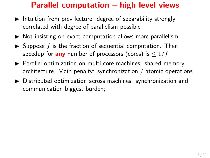- Intuition from prev lecture: degree of separability strongly correlated with degree of parallelism possible
- $\triangleright$  Not insisting on exact computation allows more parallelism
- $\triangleright$  Suppose f is the fraction of sequential computation. Then speedup for **any** number of processors (cores) is  $\leq 1/f$
- $\triangleright$  Parallel optimization on multi-core machines: shared memory architecture. Main penalty: synchronization / atomic operations
- $\triangleright$  Distributed optimization across machines: synchronization and communication biggest burden;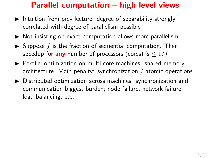- Intuition from prev lecture: degree of separability strongly correlated with degree of parallelism possible
- $\triangleright$  Not insisting on exact computation allows more parallelism
- $\triangleright$  Suppose f is the fraction of sequential computation. Then speedup for **any** number of processors (cores) is  $\leq 1/f$
- $\triangleright$  Parallel optimization on multi-core machines: shared memory architecture. Main penalty: synchronization / atomic operations
- $\triangleright$  Distributed optimization across machines: synchronization and communication biggest burden; node failure, network failure, load-balancing, etc.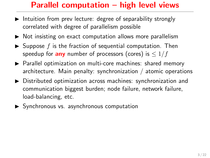- Intuition from prev lecture: degree of separability strongly correlated with degree of parallelism possible
- $\triangleright$  Not insisting on exact computation allows more parallelism
- $\triangleright$  Suppose f is the fraction of sequential computation. Then speedup for **any** number of processors (cores) is  $\leq 1/f$
- $\triangleright$  Parallel optimization on multi-core machines: shared memory architecture. Main penalty: synchronization / atomic operations
- $\triangleright$  Distributed optimization across machines: synchronization and communication biggest burden; node failure, network failure, load-balancing, etc.
- **>** Synchronous vs. asynchronous computation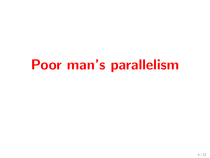# Poor man's parallelism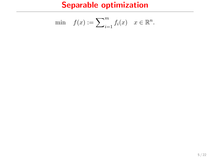$$
\min \quad f(x) := \sum_{i=1}^m f_i(x) \quad x \in \mathbb{R}^n.
$$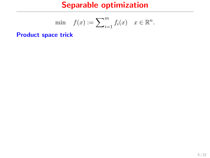$$
\min \quad f(x) := \sum_{i=1}^m f_i(x) \quad x \in \mathbb{R}^n.
$$

Product space trick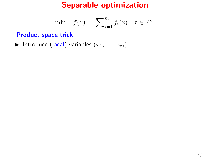$$
\min \quad f(x) := \sum_{i=1}^m f_i(x) \quad x \in \mathbb{R}^n.
$$

#### Product space trick

Introduce (local) variables  $(x_1, \ldots, x_m)$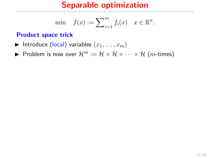$$
\min \quad f(x) := \sum_{i=1}^m f_i(x) \quad x \in \mathbb{R}^n.
$$

#### Product space trick

- Introduce (local) variables  $(x_1, \ldots, x_m)$
- Problem is now over  $\mathcal{H}^m := \mathcal{H} \times \mathcal{H} \times \cdots \times \mathcal{H}$  (*m*-times)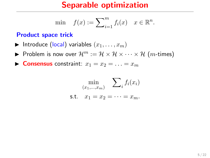$$
\min \quad f(x) := \sum_{i=1}^m f_i(x) \quad x \in \mathbb{R}^n.
$$

#### Product space trick

- Introduce (local) variables  $(x_1, \ldots, x_m)$
- Problem is now over  $\mathcal{H}^m := \mathcal{H} \times \mathcal{H} \times \cdots \times \mathcal{H}$  (*m*-times)

**Consensus** constraint:  $x_1 = x_2 = \ldots = x_m$ 

$$
\min_{(x_1,\ldots,x_m)} \sum_i f_i(x_i)
$$
  
s.t.  $x_1 = x_2 = \cdots = x_m$ .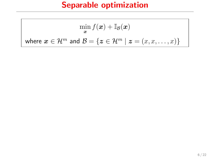$$
\min_{\mathbf{x}} f(\mathbf{x}) + \mathbb{I}_{\mathcal{B}}(\mathbf{x})
$$
  
where  $\mathbf{x} \in \mathcal{H}^m$  and  $\mathcal{B} = \{ \mathbf{z} \in \mathcal{H}^m \mid \mathbf{z} = (x, x, \dots, x) \}$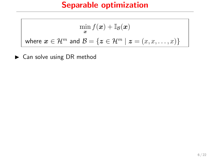$$
\min_{\mathbf{x}} f(\mathbf{x}) + \mathbb{I}_{\mathcal{B}}(\mathbf{x})
$$
  
where  $\mathbf{x} \in \mathcal{H}^m$  and  $\mathcal{B} = \{ \mathbf{z} \in \mathcal{H}^m \mid \mathbf{z} = (x, x, \dots, x) \}$ 

 $\blacktriangleright$  Can solve using DR method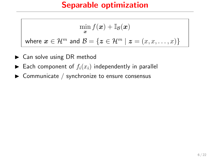$$
\min_{\bm{x}} f(\bm{x}) + \mathbb{I}_{\mathcal{B}}(\bm{x})
$$
  
where  $\bm{x} \in \mathcal{H}^m$  and  $\mathcal{B} = \{\bm{z} \in \mathcal{H}^m \mid \bm{z} = (x, x, \dots, x)\}$ 

- $\triangleright$  Can solve using DR method
- $\blacktriangleright$  Each component of  $f_i(x_i)$  independently in parallel
- $\triangleright$  Communicate / synchronize to ensure consensus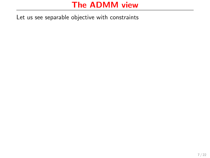Let us see separable objective with constraints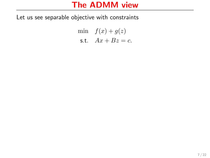Let us see separable objective with constraints

min  $f(x) + g(z)$ s.t.  $Ax + Bz = c$ .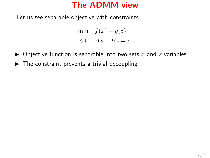Let us see separable objective with constraints

min  $f(x) + g(z)$ s.t.  $Ax + Bz = c$ .

- $\triangleright$  Objective function is separable into two sets x and z variables
- $\blacktriangleright$  The constraint prevents a trivial decoupling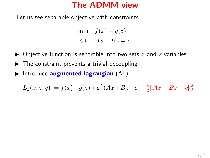Let us see separable objective with constraints

min  $f(x) + g(z)$ s.t.  $Ax + Bz = c$ .

- $\triangleright$  Objective function is separable into two sets x and z variables
- $\triangleright$  The constraint prevents a trivial decoupling
- $\blacktriangleright$  Introduce augmented lagrangian (AL)

$$
L_{\rho}(x, z, y) := f(x) + g(z) + y^{T}(Ax + Bz - c) + \frac{\rho}{2}||Ax + Bz - c||_{2}^{2}
$$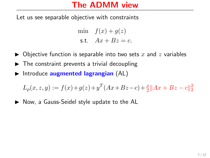Let us see separable objective with constraints

min  $f(x) + g(z)$ s.t.  $Ax + Bz = c$ .

- $\triangleright$  Objective function is separable into two sets x and z variables
- $\triangleright$  The constraint prevents a trivial decoupling
- Introduce augmented lagrangian  $(AL)$

 $L_{\rho}(x, z, y) := f(x) + g(z) + y^{T}(Ax + Bz - c) + \frac{\rho}{2}||Ax + Bz - c||_2^2$ 

▶ Now, a Gauss-Seidel style update to the AL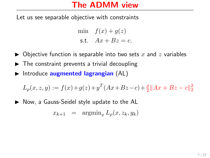Let us see separable objective with constraints

min  $f(x) + g(z)$ s.t.  $Ax + Bz = c$ .

- $\triangleright$  Objective function is separable into two sets x and z variables
- $\triangleright$  The constraint prevents a trivial decoupling
- Introduce augmented lagrangian  $(AL)$

$$
L_{\rho}(x, z, y) := f(x) + g(z) + y^{T}(Ax + Bz - c) + \frac{\rho}{2}||Ax + Bz - c||_{2}^{2}
$$

 $\triangleright$  Now, a Gauss-Seidel style update to the AL

$$
x_{k+1} = \operatorname{argmin}_x L_\rho(x, z_k, y_k)
$$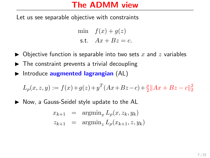Let us see separable objective with constraints

min  $f(x) + g(z)$ s.t.  $Ax + Bz = c$ .

- $\triangleright$  Objective function is separable into two sets x and z variables
- $\triangleright$  The constraint prevents a trivial decoupling
- Introduce augmented lagrangian  $(AL)$

$$
L_{\rho}(x, z, y) := f(x) + g(z) + y^{T}(Ax + Bz - c) + \frac{\rho}{2}||Ax + Bz - c||_{2}^{2}
$$

 $\triangleright$  Now, a Gauss-Seidel style update to the AL

$$
x_{k+1} = \operatorname{argmin}_{x} L_{\rho}(x, z_k, y_k)
$$
  

$$
z_{k+1} = \operatorname{argmin}_{z} L_{\rho}(x_{k+1}, z, y_k)
$$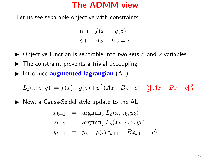Let us see separable objective with constraints

min  $f(x) + g(z)$ s.t.  $Ax + Bz = c$ .

- $\triangleright$  Objective function is separable into two sets x and z variables
- $\triangleright$  The constraint prevents a trivial decoupling
- Introduce augmented lagrangian  $(AL)$

$$
L_{\rho}(x, z, y) := f(x) + g(z) + y^{T}(Ax + Bz - c) + \frac{\rho}{2}||Ax + Bz - c||_{2}^{2}
$$

 $\triangleright$  Now, a Gauss-Seidel style update to the AL

$$
x_{k+1} = \operatorname{argmin}_{x} L_{\rho}(x, z_k, y_k)
$$
  
\n
$$
z_{k+1} = \operatorname{argmin}_{z} L_{\rho}(x_{k+1}, z, y_k)
$$
  
\n
$$
y_{k+1} = y_k + \rho(Ax_{k+1} + Bz_{k+1} - c)
$$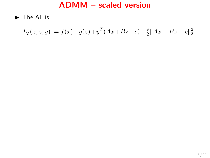$\blacktriangleright$  The AL is

 $L_{\rho}(x, z, y) := f(x) + g(z) + y^T (Ax + Bz - c) + \frac{\rho}{2} ||Ax + Bz - c||_2^2$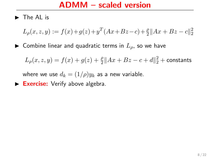$\blacktriangleright$  The AL is

$$
L_{\rho}(x, z, y) := f(x) + g(z) + y^{T}(Ax + Bz - c) + \frac{\rho}{2}||Ax + Bz - c||_{2}^{2}
$$

 $\blacktriangleright$  Combine linear and quadratic terms in  $L_{\rho}$ , so we have

$$
L_{\rho}(x, z, y) = f(x) + g(z) + \frac{\rho}{2} ||Ax + Bz - c + d||_2^2 + \text{constants}
$$

where we use  $d_k = (1/\rho)y_k$  as a new variable.

 $\triangleright$  Exercise: Verify above algebra.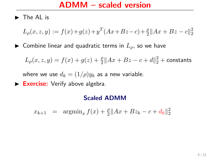$\blacktriangleright$  The AL is

$$
L_{\rho}(x, z, y) := f(x) + g(z) + y^{T}(Ax + Bz - c) + \frac{\rho}{2}||Ax + Bz - c||_{2}^{2}
$$

 $\blacktriangleright$  Combine linear and quadratic terms in  $L_{\rho}$ , so we have

 $L_{\rho}(x,z,y) = f(x) + g(z) + \frac{\rho}{2} \|Ax + Bz - c + d\|_2^2 + \text{constants}$ 

where we use  $d_k = (1/\rho)y_k$  as a new variable.

 $\triangleright$  Exercise: Verify above algebra.

#### Scaled ADMM

 $x_{k+1} = \operatorname{argmin}_x f(x) + \frac{\rho}{2} ||Ax + Bz_k - c + d_k||_2^2$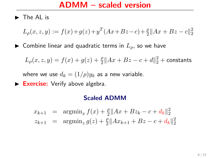$\blacktriangleright$  The AL is

$$
L_{\rho}(x, z, y) := f(x) + g(z) + y^{T}(Ax + Bz - c) + \frac{\rho}{2}||Ax + Bz - c||_{2}^{2}
$$

 $\blacktriangleright$  Combine linear and quadratic terms in  $L_{\rho}$ , so we have

 $L_{\rho}(x,z,y) = f(x) + g(z) + \frac{\rho}{2} \|Ax + Bz - c + d\|_2^2 + \text{constants}$ 

where we use  $d_k = (1/\rho)y_k$  as a new variable.

 $\triangleright$  Exercise: Verify above algebra.

#### Scaled ADMM

$$
x_{k+1} = \operatorname{argmin}_{x} f(x) + \frac{\rho}{2} ||Ax + Bz_k - c + d_k||_2^2
$$
  

$$
z_{k+1} = \operatorname{argmin}_{z} g(z) + \frac{\rho}{2} ||Ax_{k+1} + Bz - c + d_k||_2^2
$$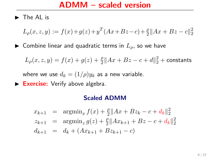$\blacktriangleright$  The AL is

$$
L_{\rho}(x, z, y) := f(x) + g(z) + y^{T}(Ax + Bz - c) + \frac{\rho}{2}||Ax + Bz - c||_{2}^{2}
$$

 $\blacktriangleright$  Combine linear and quadratic terms in  $L_{\rho}$ , so we have

 $L_{\rho}(x,z,y) = f(x) + g(z) + \frac{\rho}{2} \|Ax + Bz - c + d\|_2^2 + \text{constants}$ 

where we use  $d_k = (1/\rho)y_k$  as a new variable.

 $\triangleright$  Exercise: Verify above algebra.

#### Scaled ADMM

$$
x_{k+1} = \underset{z_{k+1}}{\operatorname{argmin}} f(x) + \frac{\rho}{2} \|Ax + Bz_k - c + d_k\|_2^2
$$
  
\n
$$
z_{k+1} = \underset{z_{k+1}}{\operatorname{argmin}} g(z) + \frac{\rho}{2} \|Ax_{k+1} + Bz - c + d_k\|_2^2
$$
  
\n
$$
d_{k+1} = d_k + (Ax_{k+1} + Bz_{k+1} - c)
$$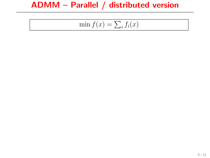# ADMM – Parallel / distributed version

$$
\min f(x) = \sum_{i} f_i(x)
$$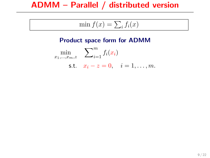# ADMM – Parallel / distributed version

$$
\min f(x) = \sum_{i} f_i(x)
$$

#### Product space form for ADMM

 $\min_{x_1,\ldots,x_m,z}$  $\sum_{m}$  $\sum_{i=1}^f f_i(x_i)$ s.t.  $x_i - z = 0$ ,  $i = 1, ..., m$ .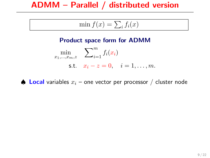$$
\min f(x) = \sum_{i} f_i(x)
$$

#### Product space form for ADMM

 $\min_{x_1,\ldots,x_m,z}$  $\sum_{m}$  $\sum_{i=1}^f f_i(x_i)$ s.t.  $x_i - z = 0$ ,  $i = 1, ..., m$ .

 $\triangle$  Local variables  $x_i$  – one vector per processor / cluster node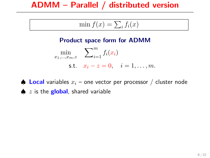$$
\min f(x) = \sum_{i} f_i(x)
$$

#### Product space form for ADMM

 $\min_{x_1,\ldots,x_m,z}$  $\sum_{m}$  $\sum_{i=1}^f f_i(x_i)$ s.t.  $x_i - z = 0$ ,  $i = 1, ..., m$ .

 $\spadesuit$  Local variables  $x_i$  – one vector per processor / cluster node  $\bullet$  z is the **global**, shared variable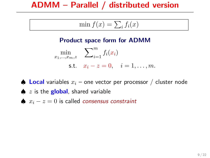$$
\min f(x) = \sum_{i} f_i(x)
$$

#### Product space form for ADMM

 $\min_{x_1,\ldots,x_m,z}$  $\sum_{m}$  $\sum_{i=1}^f f_i(x_i)$ s.t.  $x_i - z = 0, \quad i = 1, \ldots, m$ .

 $\spadesuit$  Local variables  $x_i$  – one vector per processor / cluster node

- $\bullet$  z is the **global**, shared variable
- $\bullet x_i z = 0$  is called *consensus constraint*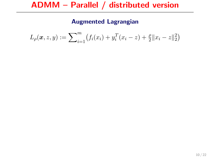#### Augmented Lagrangian

$$
L_{\rho}(\boldsymbol{x}, z, y) := \sum_{i=1}^{m} \bigl( f_i(x_i) + y_i^T(x_i - z) + \frac{\rho}{2} ||x_i - z||_2^2 \bigr)
$$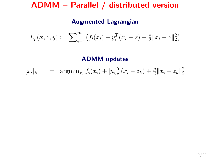#### Augmented Lagrangian

$$
L_{\rho}(\boldsymbol{x}, z, y) := \sum_{i=1}^{m} \bigl( f_i(x_i) + y_i^T(x_i - z) + \frac{\rho}{2} ||x_i - z||_2^2 \bigr)
$$

ADMM updates

$$
[x_i]_{k+1} = \operatorname{argmin}_{x_i} f_i(x_i) + [y_i]_k^T (x_i - z_k) + \frac{\rho}{2} ||x_i - z_k||_2^2
$$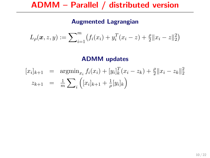#### Augmented Lagrangian

$$
L_{\rho}(\boldsymbol{x}, z, y) := \sum_{i=1}^{m} \bigl( f_i(x_i) + y_i^T(x_i - z) + \frac{\rho}{2} ||x_i - z||_2^2 \bigr)
$$

#### ADMM updates

$$
[x_i]_{k+1} = \underset{\pi}{\text{argmin}} \, f_i(x_i) + [y_i]_k^T (x_i - z_k) + \frac{\rho}{2} \|x_i - z_k\|_2^2
$$
  

$$
z_{k+1} = \frac{1}{m} \sum_i \left( [x_i]_{k+1} + \frac{1}{\rho} [y_i]_k \right)
$$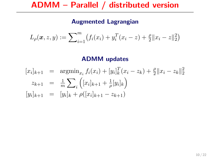#### Augmented Lagrangian

$$
L_{\rho}(\boldsymbol{x}, z, y) := \sum_{i=1}^{m} \bigl( f_i(x_i) + y_i^T(x_i - z) + \frac{\rho}{2} ||x_i - z||_2^2 \bigr)
$$

#### ADMM updates

$$
[x_i]_{k+1} = \underset{m}{\text{argmin}_{x_i}} f_i(x_i) + [y_i]_k^T (x_i - z_k) + \frac{\rho}{2} ||x_i - z_k||_2^2
$$
  

$$
z_{k+1} = \frac{1}{m} \sum_i \left( [x_i]_{k+1} + \frac{1}{\rho} [y_i]_k \right)
$$
  

$$
[y_i]_{k+1} = [y_i]_k + \rho([x_i]_{k+1} - z_{k+1})
$$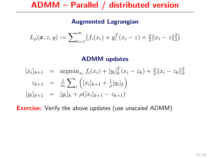#### Augmented Lagrangian

$$
L_{\rho}(\boldsymbol{x}, z, y) := \sum_{i=1}^{m} \bigl( f_i(x_i) + y_i^T(x_i - z) + \frac{\rho}{2} ||x_i - z||_2^2 \bigr)
$$

#### ADMM updates

$$
[x_i]_{k+1} = \underset{m}{\text{argmin}_{x_i}} f_i(x_i) + [y_i]_k^T (x_i - z_k) + \frac{\rho}{2} ||x_i - z_k||_2^2
$$
  

$$
z_{k+1} = \frac{1}{m} \sum_i \left( [x_i]_{k+1} + \frac{1}{\rho} [y_i]_k \right)
$$
  

$$
[y_i]_{k+1} = [y_i]_k + \rho([x_i]_{k+1} - z_{k+1})
$$

**Exercise:** Verify the above updates (use unscaled ADMM)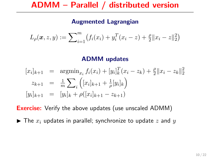#### Augmented Lagrangian

$$
L_{\rho}(\boldsymbol{x}, z, y) := \sum_{i=1}^{m} \bigl( f_i(x_i) + y_i^T(x_i - z) + \frac{\rho}{2} ||x_i - z||_2^2 \bigr)
$$

#### ADMM updates

$$
[x_i]_{k+1} = \underset{m}{\text{argmin}_{x_i}} f_i(x_i) + [y_i]_k^T (x_i - z_k) + \frac{\rho}{2} ||x_i - z_k||_2^2
$$
  

$$
z_{k+1} = \frac{1}{m} \sum_i \left( [x_i]_{k+1} + \frac{1}{\rho} [y_i]_k \right)
$$
  

$$
[y_i]_{k+1} = [y_i]_k + \rho([x_i]_{k+1} - z_{k+1})
$$

**Exercise:** Verify the above updates (use unscaled ADMM)

 $\blacktriangleright$  The  $x_i$  updates in parallel; synchronize to update z and y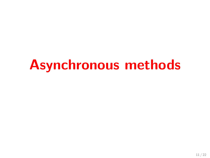# Asynchronous methods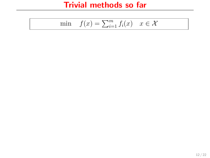$$
\min \quad f(x) = \sum_{i=1}^{m} f_i(x) \quad x \in \mathcal{X}
$$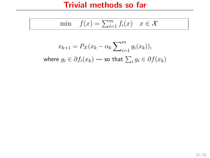$$
\min \quad f(x) = \sum_{i=1}^{m} f_i(x) \quad x \in \mathcal{X}
$$

$$
x_{k+1} = P_{\mathcal{X}}(x_k - \alpha_k \sum_{i=1}^m g_i(x_k)),
$$
  
where  $g_i \in \partial f_i(x_k)$  — so that  $\sum_i g_i \in \partial f(x_k)$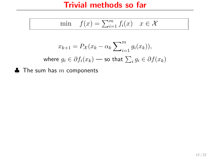$$
\min \quad f(x) = \sum_{i=1}^{m} f_i(x) \quad x \in \mathcal{X}
$$

$$
x_{k+1} = P_{\mathcal{X}}(x_k - \alpha_k \sum_{i=1}^m g_i(x_k)),
$$
  
where  $g_i \in \partial f_i(x_k)$  — so that  $\sum_i g_i \in \partial f(x_k)$ 

 $\clubsuit$  The sum has m components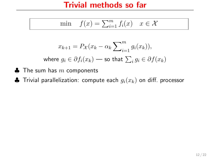$$
\min \quad f(x) = \sum_{i=1}^{m} f_i(x) \quad x \in \mathcal{X}
$$

$$
x_{k+1} = P_{\mathcal{X}}(x_k - \alpha_k \sum_{i=1}^m g_i(x_k)),
$$
  
where  $g_i \in \partial f_i(x_k)$  — so that  $\sum_i g_i \in \partial f(x_k)$ 

- $\clubsuit$  The sum has m components
- $\clubsuit$  Trivial parallelization: compute each  $g_i(x_k)$  on diff. processor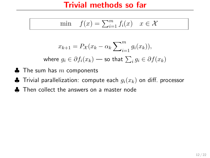$$
\min \quad f(x) = \sum_{i=1}^{m} f_i(x) \quad x \in \mathcal{X}
$$

$$
x_{k+1} = P_{\mathcal{X}}(x_k - \alpha_k \sum_{i=1}^m g_i(x_k)),
$$
  
where  $g_i \in \partial f_i(x_k)$  — so that  $\sum_i g_i \in \partial f(x_k)$ 

- $\clubsuit$  The sum has m components
- $\clubsuit$  Trivial parallelization: compute each  $g_i(x_k)$  on diff. processor
- ♣ Then collect the answers on a master node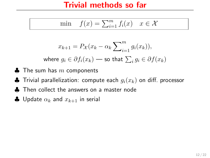$$
\min \quad f(x) = \sum_{i=1}^{m} f_i(x) \quad x \in \mathcal{X}
$$

$$
x_{k+1} = P_{\mathcal{X}}(x_k - \alpha_k \sum_{i=1}^m g_i(x_k)),
$$
  
where  $g_i \in \partial f_i(x_k)$  — so that  $\sum_i g_i \in \partial f(x_k)$ 

- $\clubsuit$  The sum has  $m$  components
- $\clubsuit$  Trivial parallelization: compute each  $g_i(x_k)$  on diff. processor
- ♣ Then collect the answers on a master node
- $\clubsuit$  Update  $\alpha_k$  and  $x_{k+1}$  in serial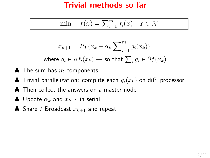$$
\min \quad f(x) = \sum_{i=1}^{m} f_i(x) \quad x \in \mathcal{X}
$$

$$
x_{k+1} = P_{\mathcal{X}}(x_k - \alpha_k \sum_{i=1}^m g_i(x_k)),
$$
  
where  $g_i \in \partial f_i(x_k)$  — so that  $\sum_i g_i \in \partial f(x_k)$ 

- $\clubsuit$  The sum has  $m$  components
- $\clubsuit$  Trivial parallelization: compute each  $g_i(x_k)$  on diff. processor
- ♣ Then collect the answers on a master node
- $\clubsuit$  Update  $\alpha_k$  and  $x_{k+1}$  in serial
- ♣ Share / Broadcast  $x_{k+1}$  and repeat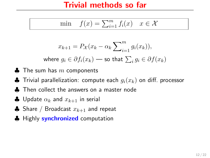$$
\min \quad f(x) = \sum_{i=1}^{m} f_i(x) \quad x \in \mathcal{X}
$$

$$
x_{k+1} = P_{\mathcal{X}}(x_k - \alpha_k \sum_{i=1}^m g_i(x_k)),
$$
  
where  $g_i \in \partial f_i(x_k)$  — so that  $\sum_i g_i \in \partial f(x_k)$ 

- $\clubsuit$  The sum has  $m$  components
- $\clubsuit$  Trivial parallelization: compute each  $g_i(x_k)$  on diff. processor
- ♣ Then collect the answers on a master node
- $\clubsuit$  Update  $\alpha_k$  and  $x_{k+1}$  in serial
- ♣ Share / Broadcast  $x_{k+1}$  and repeat
- **A** Highly **synchronized** computation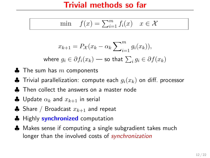$$
\min \quad f(x) = \sum_{i=1}^{m} f_i(x) \quad x \in \mathcal{X}
$$

$$
x_{k+1} = P_{\mathcal{X}}(x_k - \alpha_k \sum_{i=1}^m g_i(x_k)),
$$

where  $g_i \in \partial f_i(x_k)$  — so that  $\sum_i g_i \in \partial f(x_k)$ 

- $\clubsuit$  The sum has  $m$  components
- $\clubsuit$  Trivial parallelization: compute each  $g_i(x_k)$  on diff. processor
- ♣ Then collect the answers on a master node
- $\clubsuit$  Update  $\alpha_k$  and  $x_{k+1}$  in serial
- ♣ Share / Broadcast  $x_{k+1}$  and repeat
- **A** Highly **synchronized** computation
- ♣ Makes sense if computing a single subgradient takes much longer than the involved costs of *synchronization*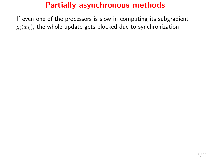If even one of the processors is slow in computing its subgradient  $g_i(x_k)$ , the whole update gets blocked due to synchronization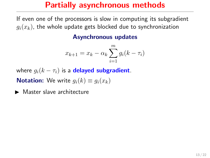If even one of the processors is slow in computing its subgradient  $g_i(x_k)$ , the whole update gets blocked due to synchronization

#### Asynchronous updates

$$
x_{k+1} = x_k - \alpha_k \sum_{i=1}^{m} g_i (k - \tau_i)
$$

where  $g_i(k - \tau_i)$  is a **delayed subgradient**.

**Notation:** We write  $g_i(k) \equiv g_i(x_k)$ 

 $\blacktriangleright$  Master slave architecture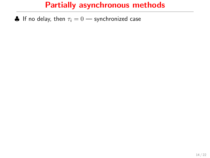$\clubsuit$  If no delay, then  $\tau_i = 0$  — synchronized case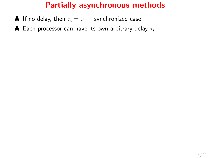- $\clubsuit$  If no delay, then  $\tau_i = 0$  synchronized case
- $\clubsuit$  Each processor can have its own arbitrary delay  $\tau_i$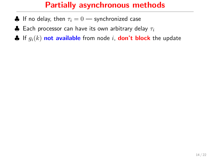- $\bullet$  If no delay, then  $\tau_i = 0$  synchronized case
- $\clubsuit$  Each processor can have its own arbitrary delay  $\tau_i$
- $\clubsuit$  If  $g_i(k)$  not available from node i, don't block the update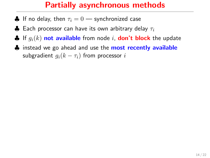- $\bullet$  If no delay, then  $\tau_i = 0$  synchronized case
- $\clubsuit$  Each processor can have its own arbitrary delay  $\tau_i$
- $\clubsuit$  If  $g_i(k)$  not available from node i, don't block the update
- **A** instead we go ahead and use the **most recently available** subgradient  $q_i(k - \tau_i)$  from processor i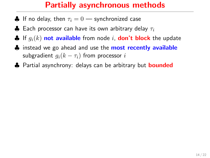- $\clubsuit$  If no delay, then  $\tau_i = 0$  synchronized case
- $\clubsuit$  Each processor can have its own arbitrary delay  $\tau_i$
- $\clubsuit$  If  $q_i(k)$  not available from node i, don't block the update
- **A** instead we go ahead and use the **most recently available** subgradient  $q_i(k - \tau_i)$  from processor i
- **A** Partial asynchrony: delays can be arbitrary but **bounded**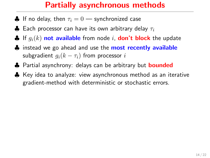- $\clubsuit$  If no delay, then  $\tau_i = 0$  synchronized case
- $\clubsuit$  Each processor can have its own arbitrary delay  $\tau_i$
- $\clubsuit$  If  $q_i(k)$  not available from node i, don't block the update
- ♦ instead we go ahead and use the **most recently available** subgradient  $q_i(k - \tau_i)$  from processor i
- **♦** Partial asynchrony: delays can be arbitrary but **bounded**
- ♣ Key idea to analyze: view asynchronous method as an iterative gradient-method with deterministic or stochastic errors.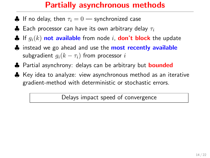- $\clubsuit$  If no delay, then  $\tau_i = 0$  synchronized case
- $\clubsuit$  Each processor can have its own arbitrary delay  $\tau_i$
- $\clubsuit$  If  $q_i(k)$  not available from node i, don't block the update
- ♦ instead we go ahead and use the **most recently available** subgradient  $q_i(k - \tau_i)$  from processor i
- **♦** Partial asynchrony: delays can be arbitrary but **bounded**
- ♣ Key idea to analyze: view asynchronous method as an iterative gradient-method with deterministic or stochastic errors.

Delays impact speed of convergence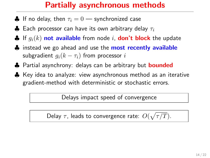- $\clubsuit$  If no delay, then  $\tau_i = 0$  synchronized case
- $\clubsuit$  Each processor can have its own arbitrary delay  $\tau_i$
- $\clubsuit$  If  $q_i(k)$  not available from node i, don't block the update
- **A** instead we go ahead and use the **most recently available** subgradient  $g_i(k - \tau_i)$  from processor i
- **♦** Partial asynchrony: delays can be arbitrary but **bounded**
- ♣ Key idea to analyze: view asynchronous method as an iterative gradient-method with deterministic or stochastic errors.

Delays impact speed of convergence

Delay  $\tau$ , leads to convergence rate:  $O(\sqrt{\tau/T})$ .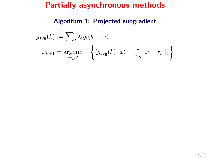#### Algorithm 1: Projected subgradient

$$
g_{\text{avg}}(k) := \sum_{i} \lambda_i g_i(k - \tau_i)
$$

$$
x_{k+1} = \underset{x \in \mathcal{X}}{\text{argmin}} \quad \left\{ \langle g_{\text{avg}}(k), x \rangle + \frac{1}{\alpha_k} ||x - x_k||_2^2 \right\}
$$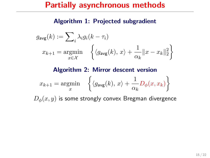#### Algorithm 1: Projected subgradient

$$
g_{\text{avg}}(k) := \sum_{i} \lambda_i g_i(k - \tau_i)
$$
  

$$
x_{k+1} = \underset{x \in \mathcal{X}}{\text{argmin}} \quad \left\{ \langle g_{\text{avg}}(k), x \rangle + \frac{1}{\alpha_k} ||x - x_k||_2^2 \right\}
$$

#### Algorithm 2: Mirror descent version

$$
x_{k+1} = \underset{x}{\text{argmin}} \quad \left\{ \langle g_{\text{avg}}(k), x \rangle + \frac{1}{\alpha_k} D_{\phi}(x, x_k) \right\}
$$

 $D_{\phi}(x, y)$  is some strongly convex Bregman divergence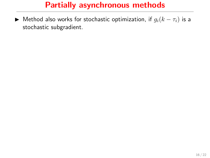► Method also works for stochastic optimization, if  $g_i(k - \tau_i)$  is a stochastic subgradient.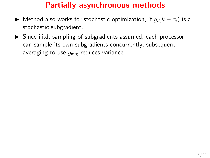- $\triangleright$  Method also works for stochastic optimization, if  $g_i(k \tau_i)$  is a stochastic subgradient.
- $\triangleright$  Since i.i.d. sampling of subgradients assumed, each processor can sample its own subgradients concurrently; subsequent averaging to use  $g_{\text{avg}}$  reduces variance.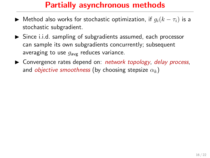- $\triangleright$  Method also works for stochastic optimization, if  $g_i(k \tau_i)$  is a stochastic subgradient.
- $\triangleright$  Since i.i.d. sampling of subgradients assumed, each processor can sample its own subgradients concurrently; subsequent averaging to use  $g_{\text{avg}}$  reduces variance.
- ▶ Convergence rates depend on: network topology, delay process, and *objective smoothness* (by choosing stepsize  $\alpha_k$ )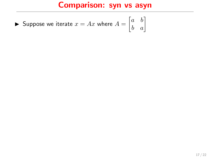# Comparison: syn vs asyn

Suppose we iterate 
$$
x = Ax
$$
 where  $A = \begin{bmatrix} a & b \\ b & a \end{bmatrix}$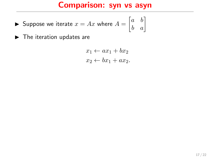## Comparison: syn vs asyn

- ▶ Suppose we iterate  $x = Ax$  where  $A = \begin{bmatrix} a & b \\ b & a \end{bmatrix}$
- $\blacktriangleright$  The iteration updates are

$$
x_1 \leftarrow ax_1 + bx_2
$$
  

$$
x_2 \leftarrow bx_1 + ax_2.
$$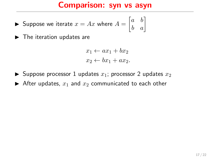Suppose we iterate 
$$
x = Ax
$$
 where  $A = \begin{bmatrix} a & b \\ b & a \end{bmatrix}$ 

 $\blacktriangleright$  The iteration updates are

$$
x_1 \leftarrow ax_1 + bx_2
$$
  

$$
x_2 \leftarrow bx_1 + ax_2.
$$

- $\blacktriangleright$  Suppose processor 1 updates  $x_1$ ; processor 2 updates  $x_2$
- $\blacktriangleright$  After updates,  $x_1$  and  $x_2$  communicated to each other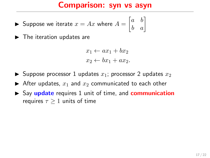Suppose we iterate 
$$
x = Ax
$$
 where  $A = \begin{bmatrix} a & b \\ b & a \end{bmatrix}$ 

 $\blacktriangleright$  The iteration updates are

$$
x_1 \leftarrow ax_1 + bx_2
$$
  

$$
x_2 \leftarrow bx_1 + ax_2.
$$

- $\blacktriangleright$  Suppose processor 1 updates  $x_1$ ; processor 2 updates  $x_2$
- After updates,  $x_1$  and  $x_2$  communicated to each other
- $\triangleright$  Say update requires 1 unit of time, and communication requires  $\tau \geq 1$  units of time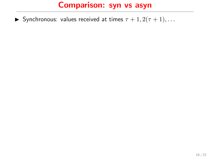Synchronous: values received at times  $\tau + 1, 2(\tau + 1), \ldots$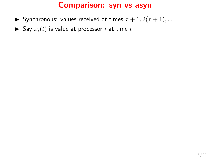- Synchronous: values received at times  $\tau + 1, 2(\tau + 1), \ldots$
- $\triangleright$  Say  $x_i(t)$  is value at processor i at time t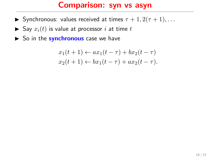- Synchronous: values received at times  $\tau + 1, 2(\tau + 1), \ldots$
- $\triangleright$  Say  $x_i(t)$  is value at processor i at time t
- $\triangleright$  So in the synchronous case we have

$$
x_1(t+1) \leftarrow ax_1(t-\tau) + bx_2(t-\tau)
$$
  

$$
x_2(t+1) \leftarrow bx_1(t-\tau) + ax_2(t-\tau).
$$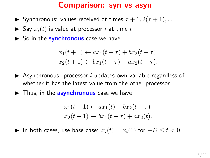- Synchronous: values received at times  $\tau + 1, 2(\tau + 1), \ldots$
- $\triangleright$  Say  $x_i(t)$  is value at processor i at time t
- $\triangleright$  So in the **synchronous** case we have

$$
x_1(t+1) \leftarrow ax_1(t-\tau) + bx_2(t-\tau)
$$
  

$$
x_2(t+1) \leftarrow bx_1(t-\tau) + ax_2(t-\tau).
$$

- $\triangleright$  Asynchronous: processor *i* updates own variable regardless of whether it has the latest value from the other processor
- $\blacktriangleright$  Thus, in the **asynchronous** case we have

$$
x_1(t+1) \leftarrow ax_1(t) + bx_2(t-\tau)
$$
  

$$
x_2(t+1) \leftarrow bx_1(t-\tau) + ax_2(t).
$$

 $\blacktriangleright$  In both cases, use base case:  $x_i(t) = x_i(0)$  for  $-D \leq t < 0$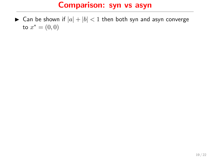$\blacktriangleright$  Can be shown if  $|a| + |b| < 1$  then both syn and asyn converge to  $x^* = (0, 0)$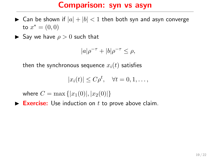- $\triangleright$  Can be shown if  $|a| + |b| < 1$  then both syn and asyn converge to  $x^* = (0, 0)$
- $\blacktriangleright$  Say we have  $\rho > 0$  such that

$$
|a|\rho^{-\tau} + |b|\rho^{-\tau} \le \rho,
$$

then the synchronous sequence  $x_i(t)$  satisfies

$$
|x_i(t)| \le C\rho^t, \quad \forall t = 0, 1, \dots,
$$

where  $C = \max\{|x_1(0)|, |x_2(0)|\}$ 

Exercise: Use induction on  $t$  to prove above claim.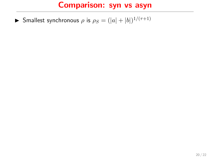**I** Smallest synchronous  $\rho$  is  $\rho_S = (|a| + |b|)^{1/(\tau+1)}$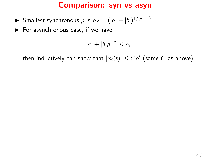- **I** Smallest synchronous  $\rho$  is  $\rho_S = (|a| + |b|)^{1/(\tau+1)}$
- $\blacktriangleright$  For asynchronous case, if we have

$$
|a| + |b| \rho^{-\tau} \le \rho,
$$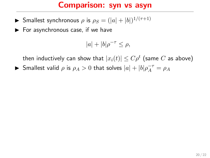- **I** Smallest synchronous  $\rho$  is  $\rho_S = (|a| + |b|)^{1/(\tau+1)}$
- $\blacktriangleright$  For asynchronous case, if we have

$$
|a| + |b| \rho^{-\tau} \le \rho,
$$

then inductively can show that  $|x_i(t)| \leq C \rho^t$  (same  $C$  as above)

Smallest valid  $\rho$  is  $\rho_A > 0$  that solves  $|a| + |b| \rho_A^{-\tau} = \rho_A$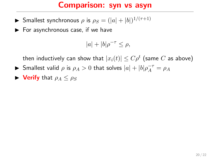- **I** Smallest synchronous  $\rho$  is  $\rho_S = (|a| + |b|)^{1/(\tau+1)}$
- $\blacktriangleright$  For asynchronous case, if we have

$$
|a| + |b| \rho^{-\tau} \le \rho,
$$

- Smallest valid  $\rho$  is  $\rho_A > 0$  that solves  $|a| + |b| \rho_A^{-\tau} = \rho_A$
- $\triangleright$  Verify that  $\rho_A \leq \rho_S$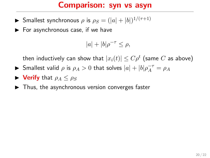- **I** Smallest synchronous  $\rho$  is  $\rho_S = (|a| + |b|)^{1/(\tau+1)}$
- $\blacktriangleright$  For asynchronous case, if we have

$$
|a| + |b| \rho^{-\tau} \le \rho,
$$

- Smallest valid  $\rho$  is  $\rho_A > 0$  that solves  $|a| + |b| \rho_A^{-\tau} = \rho_A$
- $\blacktriangleright$  Verify that  $\rho_A \leq \rho_S$
- $\blacktriangleright$  Thus, the asynchronous version converges faster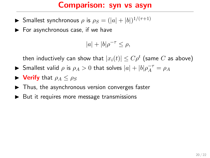- **I** Smallest synchronous  $\rho$  is  $\rho_S = (|a| + |b|)^{1/(\tau+1)}$
- $\blacktriangleright$  For asynchronous case, if we have

$$
|a| + |b| \rho^{-\tau} \le \rho,
$$

- Smallest valid  $\rho$  is  $\rho_A > 0$  that solves  $|a| + |b| \rho_A^{-\tau} = \rho_A$
- $\blacktriangleright$  Verify that  $\rho_A \leq \rho_S$
- $\blacktriangleright$  Thus, the asynchronous version converges faster
- $\triangleright$  But it requires more message transmissions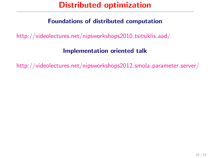# Distributed optimization

#### Foundations of distributed computation

[http://videolectures.net/nipsworkshops2010](http://videolectures.net/nipsworkshops2010_tsitsiklis_aad/)\_tsitsiklis\_aad/

#### Implementation oriented talk

[http://videolectures.net/nipsworkshops2012](http://videolectures.net/nipsworkshops2012_smola_parameter_server/)\_smola\_parameter\_server/